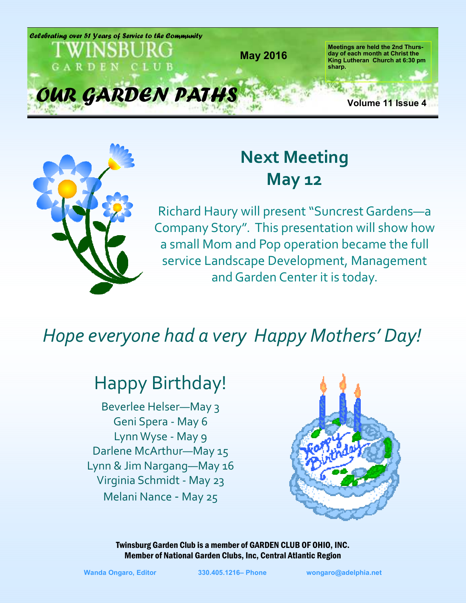



# **Next Meeting May 12**

Richard Haury will present "Suncrest Gardens—a Company Story". This presentation will show how a small Mom and Pop operation became the full service Landscape Development, Management and Garden Center it is today.

## *Hope everyone had a very Happy Mothers' Day!*

## Happy Birthday!

Beverlee Helser—May 3 Geni Spera - May 6 Lynn Wyse - May 9 Darlene McArthur—May 15 Lynn & Jim Nargang—May 16 Virginia Schmidt - May 23 Melani Nance - May 25

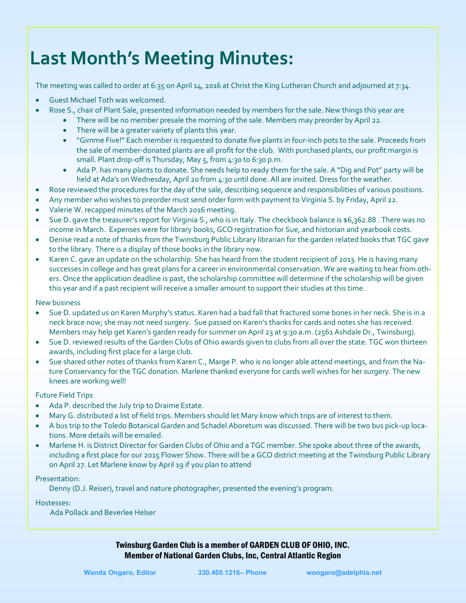# **Last Month's Meeting Minutes:**

The meeting was called to order at 6:35 on April 14, 2016 at Christ the King Lutheran Church and adjourned at 7:34.

- Guest Michael Toth was welcomed.
- Rose S., chair of Plant Sale, presented information needed by members for the sale. New things this year are
	- There will be no member presale the morning of the sale. Members may preorder by April 22.
		- There will be a greater variety of plants this year.
		- "Gimme Five!" Each member is requested to donate five plants in four-inch pots to the sale. Proceeds from the sale of member-donated plants are all profit for the club. With purchased plants, our profit margin is small. Plant drop-off is Thursday, May 5, from 4:30 to 6:30 p.m.
		- Ada P. has many plants to donate. She needs help to ready them for the sale. A "Dig and Pot" party will be held at Ada's on Wednesday, April 20 from 4:30 until done. All are invited. Dress for the weather.
- Rose reviewed the procedures for the day of the sale, describing sequence and responsibilities of various positions.
- Any member who wishes to preorder must send order form with payment to Virginia S. by Friday, April 22.
- Valerie W. recapped minutes of the March 2016 meeting.
- Sue D. gave the treasurer's report for Virginia S., who is in Italy. The checkbook balance is \$6,362.88. There was no income in March. Expenses were for library books, GCO registration for Sue, and historian and yearbook costs.
- Denise read a note of thanks from the Twinsburg Public Library librarian for the garden related books that TGC gave to the library. There is a display of those books in the library now.
- Karen C. gave an update on the scholarship. She has heard from the student recipient of 2013. He is having many successes in college and has great plans for a career in environmental conservation. We are waiting to hear from others. Once the application deadline is past, the scholarship committee will determine if the scholarship will be given this year and if a past recipient will receive a smaller amount to support their studies at this time.

New business

- Sue D. updated us on Karen Murphy's status. Karen had a bad fall that fractured some bones in her neck. She is in a neck brace now; she may not need surgery. Sue passed on Karen's thanks for cards and notes she has received. Members may help get Karen's garden ready for summer on April 23 at 9:30 a.m. (2561 Ashdale Dr., Twinsburg).
- Sue D. reviewed results of the Garden Clubs of Ohio awards given to clubs from all over the state. TGC won thirteen awards, including first place for a large club.
- Sue shared other notes of thanks from Karen C., Marge P. who is no longer able attend meetings, and from the Nature Conservancy for the TGC donation. Marlene thanked everyone for cards well wishes for her surgery. The new knees are working well!

Future Field Trips

- Ada P. described the July trip to Draime Estate.
- Mary G. distributed a list of field trips. Members should let Mary know which trips are of interest to them.
- A bus trip to the Toledo Botanical Garden and Schadel Aboretum was discussed. There will be two bus pick-up locations. More details will be emailed.
- Marlene H. is District Director for Garden Clubs of Ohio and a TGC member. She spoke about three of the awards, including a first place for our 2015 Flower Show. There will be a GCO district meeting at the Twinsburg Public Library on April 27. Let Marlene know by April 19 if you plan to attend

Presentation:

Denny (D.J. Reiser), travel and nature photographer, presented the evening's program.

Hostesses:

Ada Pollack and Beverlee Helser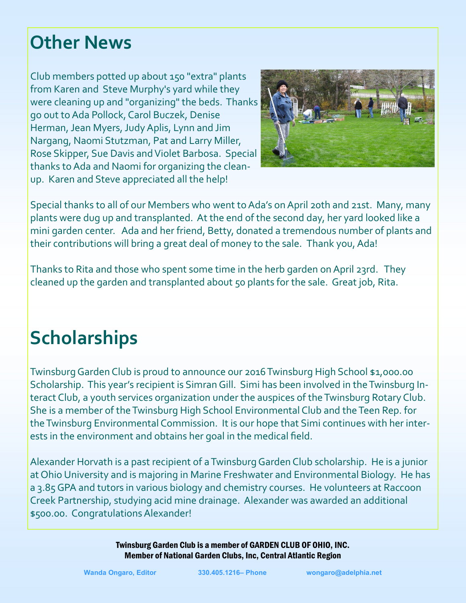# **Other News**

Club members potted up about 150 "extra" plants from Karen and Steve Murphy's yard while they were cleaning up and "organizing" the beds. Thanks go out to Ada Pollock, Carol Buczek, Denise Herman, Jean Myers, Judy Aplis, Lynn and Jim Nargang, Naomi Stutzman, Pat and Larry Miller, Rose Skipper, Sue Davis and Violet Barbosa. Special thanks to Ada and Naomi for organizing the cleanup. Karen and Steve appreciated all the help!



Special thanks to all of our Members who went to Ada's on April 20th and 21st. Many, many plants were dug up and transplanted. At the end of the second day, her yard looked like a mini garden center. Ada and her friend, Betty, donated a tremendous number of plants and their contributions will bring a great deal of money to the sale. Thank you, Ada!

Thanks to Rita and those who spent some time in the herb garden on April 23rd. They cleaned up the garden and transplanted about 50 plants for the sale. Great job, Rita.

# **Scholarships**

Twinsburg Garden Club is proud to announce our 2016 Twinsburg High School \$1,000.00 Scholarship. This year's recipient is Simran Gill. Simi has been involved in the Twinsburg Interact Club, a youth services organization under the auspices of the Twinsburg Rotary Club. She is a member of the Twinsburg High School Environmental Club and the Teen Rep. for the Twinsburg Environmental Commission. It is our hope that Simi continues with her interests in the environment and obtains her goal in the medical field.

Alexander Horvath is a past recipient of a Twinsburg Garden Club scholarship. He is a junior at Ohio University and is majoring in Marine Freshwater and Environmental Biology. He has a 3.85 GPA and tutors in various biology and chemistry courses. He volunteers at Raccoon Creek Partnership, studying acid mine drainage. Alexander was awarded an additional \$500.00. Congratulations Alexander!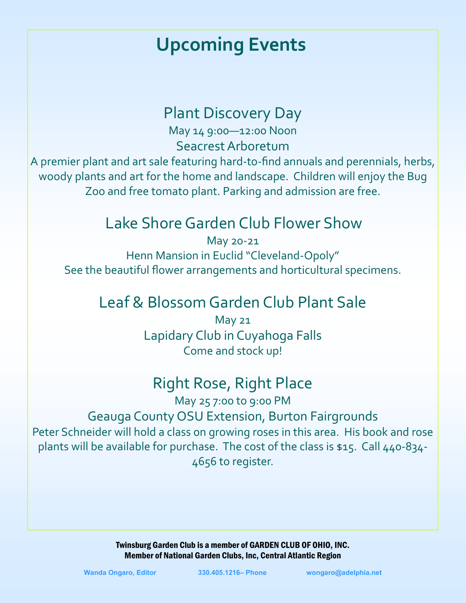# **Upcoming Events**

#### Plant Discovery Day

May 14 9:00—12:00 Noon Seacrest Arboretum

A premier plant and art sale featuring hard-to-find annuals and perennials, herbs, woody plants and art for the home and landscape. Children will enjoy the Bug Zoo and free tomato plant. Parking and admission are free.

## Lake Shore Garden Club Flower Show

May 20-21 Henn Mansion in Euclid "Cleveland-Opoly" See the beautiful flower arrangements and horticultural specimens.

#### Leaf & Blossom Garden Club Plant Sale

May 21 Lapidary Club in Cuyahoga Falls Come and stock up!

## Right Rose, Right Place

May 25 7:00 to 9:00 PM Geauga County OSU Extension, Burton Fairgrounds Peter Schneider will hold a class on growing roses in this area. His book and rose plants will be available for purchase. The cost of the class is \$15. Call 440-834- 4656 to register.